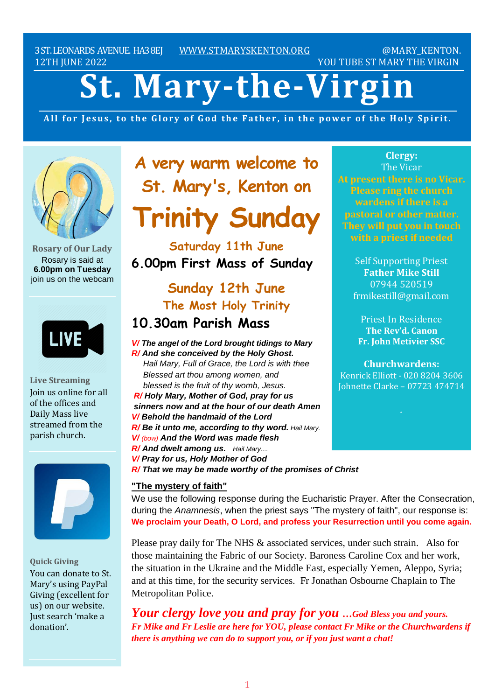3ST.LEONARDS AVENUE. HA38EJ [WWW.STMARYSKENTON.ORG](http://www.stmaryskenton.org/) @MARY\_KENTON. 12TH JUNE 2022 YOU TUBE ST MARY THE VIRGIN

# **St. Mary-the-Virgin**

All for Jesus, to the Glory of God the Father, in the power of the Holy Spirit.



**Rosary of Our Lady** Rosary is said at **6.00pm on Tuesday** join us on the webcam



**Live Streaming** Join us online for all of the offices and Daily Mass live streamed from the parish church.



**Quick Giving** You can donate to St. Mary's using PayPal Giving (excellent for us) on our website. Just search 'make a donation'.

**A very warm welcome to St. Mary's, Kenton on**

## **Trinity Sunday**

**Saturday 11th June 6.00pm First Mass of Sunday**

## **Sunday 12th June The Most Holy Trinity**

#### **10.30am Parish Mass**

*V/ The angel of the Lord brought tidings to Mary R/ And she conceived by the Holy Ghost. Hail Mary, Full of Grace, the Lord is with thee Blessed art thou among women, and blessed is the fruit of thy womb, Jesus. R/ Holy Mary, Mother of God, pray for us sinners now and at the hour of our death Amen V/ Behold the handmaid of the Lord R/ Be it unto me, according to thy word. Hail Mary. V/ (bow) And the Word was made flesh R/ And dwelt among us. Hail Mary.... V/ Pray for us, Holy Mother of God R/ That we may be made worthy of the promises of Christ*

#### **"The mystery of faith"**

We use the following response during the Eucharistic Prayer. After the Consecration, during the *Anamnesis*, when the priest says "The mystery of faith", our response is: **We proclaim your Death, O Lord, and profess your Resurrection until you come again.** 

Please pray daily for The NHS & associated services, under such strain. Also for those maintaining the Fabric of our Society. Baroness Caroline Cox and her work, the situation in the Ukraine and the Middle East, especially Yemen, Aleppo, Syria; and at this time, for the security services. Fr Jonathan Osbourne Chaplain to The Metropolitan Police.

*Your clergy love you and pray for you …God Bless you and yours. Fr Mike and Fr Leslie are here for YOU, please contact Fr Mike or the Churchwardens if there is anything we can do to support you, or if you just want a chat!*

**Clergy:** The Vicar **At present there is no Vicar. Please ring the church wardens if there is a pastoral or other matter. They will put you in touch**

> Self Supporting Priest **Father Mike Still** 07944 520519 frmikestill@gmail.com

Priest In Residence **The Rev'd. Canon Fr. John Metivier SSC**

**Churchwardens:** Kenrick Elliott - 020 8204 3606 Johnette Clarke – 07723 474714